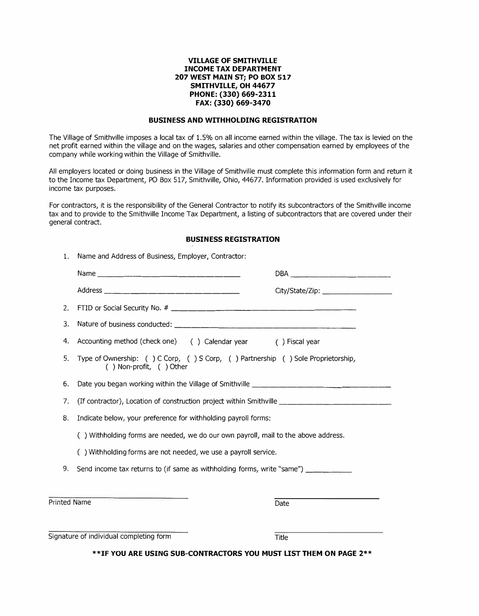## **VILLAGE OF SMITHVILLE INCOME TAX DEPARTMENT 207 WEST MAIN ST; PO BOX 517 SMITHVILLE, OH 44677 PHONE: (330) 669-2311 FAX: (330) 669-3470**

## **BUSINESS AND WITHHOLDING REGISTRATION**

The Village of Smithville imposes a local tax of 1.5% on all income earned within the village. The tax is levied on the net profit earned within the village and on the wages, salaries and other compensation earned by employees of the company while working within the Village of Smithville.

All employers located or doing business in the Village of Smithville must complete this information form and return it to the Income tax Department, PO Box 517, Smithville, Ohio, 44677. Information provided is used exclusively for income tax purposes.

For contractors, it is the responsibility of the General Contractor to notify its subcontractors of the Smithville income tax and to provide to the Smithville Income Tax Department, a listing of subcontractors that are covered under their general contract.

# **BUSINESS REGISTRATION**

| 1.                                      |                                                                                                                  |                                 |  |
|-----------------------------------------|------------------------------------------------------------------------------------------------------------------|---------------------------------|--|
|                                         |                                                                                                                  |                                 |  |
|                                         |                                                                                                                  | City/State/Zip: _______________ |  |
| 2.                                      |                                                                                                                  |                                 |  |
| 3.                                      |                                                                                                                  |                                 |  |
| 4.                                      | Accounting method (check one) () Calendar year () Fiscal year                                                    |                                 |  |
| 5.                                      | Type of Ownership: () C Corp, () S Corp, () Partnership () Sole Proprietorship,<br>$( )$ Non-profit, $( )$ Other |                                 |  |
| 6.                                      | Date you began working within the Village of Smithville _________________________                                |                                 |  |
| 7.                                      | (If contractor), Location of construction project within Smithville ________________________________             |                                 |  |
| 8.                                      | Indicate below, your preference for withholding payroll forms:                                                   |                                 |  |
|                                         | () Withholding forms are needed, we do our own payroll, mail to the above address.                               |                                 |  |
|                                         | () Withholding forms are not needed, we use a payroll service.                                                   |                                 |  |
| 9.                                      | Send income tax returns to (if same as withholding forms, write "same") ________                                 |                                 |  |
|                                         |                                                                                                                  |                                 |  |
| Printed Name                            |                                                                                                                  | Date                            |  |
|                                         |                                                                                                                  |                                 |  |
| Signature of individual completing form |                                                                                                                  | Title                           |  |

**\*\*IF YOU ARE USING SUB-CONTRACTORS YOU MUST LIST THEM ON PAGE 2\*\***